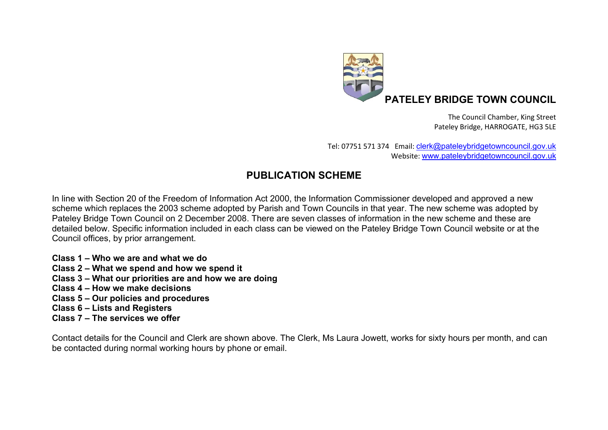

The Council Chamber, King Street Pateley Bridge, HARROGATE, HG3 5LE

Tel: 07751 571 374 Email: [clerk@pateleybridgetowncouncil.gov.uk](mailto:clerk@pateleybridgetowncouncil.gov.uk) Website: [www.pateleybridgetowncouncil.gov.uk](http://www.pateleybridgetowncouncil.gov.uk/)

## **PUBLICATION SCHEME**

In line with Section 20 of the Freedom of Information Act 2000, the Information Commissioner developed and approved a new scheme which replaces the 2003 scheme adopted by Parish and Town Councils in that year. The new scheme was adopted by Pateley Bridge Town Council on 2 December 2008. There are seven classes of information in the new scheme and these are detailed below. Specific information included in each class can be viewed on the Pateley Bridge Town Council website or at the Council offices, by prior arrangement.

- **Class 1 – Who we are and what we do**
- **Class 2 – What we spend and how we spend it**
- **Class 3 – What our priorities are and how we are doing**
- **Class 4 – How we make decisions**
- **Class 5 – Our policies and procedures**
- **Class 6 – Lists and Registers**
- **Class 7 – The services we offer**

Contact details for the Council and Clerk are shown above. The Clerk, Ms Laura Jowett, works for sixty hours per month, and can be contacted during normal working hours by phone or email.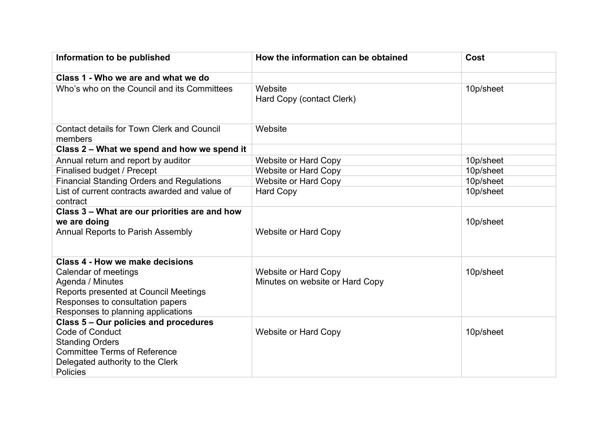| Information to be published                                                                                                                                                                    | How the information can be obtained                            | Cost      |
|------------------------------------------------------------------------------------------------------------------------------------------------------------------------------------------------|----------------------------------------------------------------|-----------|
| Class 1 - Who we are and what we do                                                                                                                                                            |                                                                |           |
| Who's who on the Council and its Committees                                                                                                                                                    | Website<br>Hard Copy (contact Clerk)                           | 10p/sheet |
| <b>Contact details for Town Clerk and Council</b><br>members                                                                                                                                   | Website                                                        |           |
| Class 2 - What we spend and how we spend it                                                                                                                                                    |                                                                |           |
| Annual return and report by auditor                                                                                                                                                            | <b>Website or Hard Copy</b>                                    | 10p/sheet |
| Finalised budget / Precept                                                                                                                                                                     | <b>Website or Hard Copy</b>                                    | 10p/sheet |
| <b>Financial Standing Orders and Regulations</b>                                                                                                                                               | <b>Website or Hard Copy</b>                                    | 10p/sheet |
| List of current contracts awarded and value of<br>contract                                                                                                                                     | <b>Hard Copy</b>                                               | 10p/sheet |
| Class 3 - What are our priorities are and how<br>we are doing<br><b>Annual Reports to Parish Assembly</b>                                                                                      | <b>Website or Hard Copy</b>                                    | 10p/sheet |
| Class 4 - How we make decisions<br>Calendar of meetings<br>Agenda / Minutes<br>Reports presented at Council Meetings<br>Responses to consultation papers<br>Responses to planning applications | <b>Website or Hard Copy</b><br>Minutes on website or Hard Copy | 10p/sheet |
| Class 5 - Our policies and procedures<br>Code of Conduct<br><b>Standing Orders</b><br><b>Committee Terms of Reference</b><br>Delegated authority to the Clerk<br><b>Policies</b>               | <b>Website or Hard Copy</b>                                    | 10p/sheet |